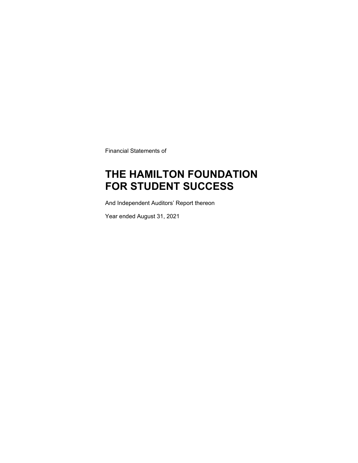Financial Statements of

## **THE HAMILTON FOUNDATION FOR STUDENT SUCCESS**

And Independent Auditors' Report thereon

Year ended August 31, 2021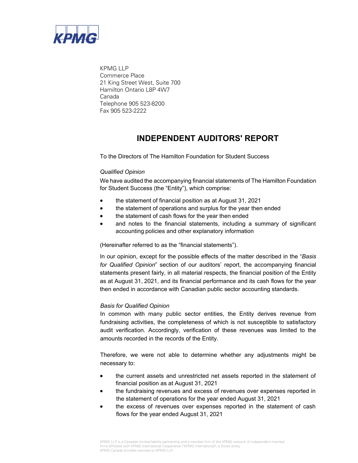

KPMG LLP Commerce Place 21 King Street West, Suite 700 Hamilton Ontario L8P 4W7 Canada Telephone 905 523-8200 Fax 905 523-2222

## **INDEPENDENT AUDITORS' REPORT**

To the Directors of The Hamilton Foundation for Student Success

#### *Qualified Opinion*

We have audited the accompanying financial statements of The Hamilton Foundation for Student Success (the "Entity"), which comprise:

- the statement of financial position as at August 31, 2021
- the statement of operations and surplus for the year then ended
- the statement of cash flows for the year then ended
- and notes to the financial statements, including a summary of significant accounting policies and other explanatory information

(Hereinafter referred to as the "financial statements").

In our opinion, except for the possible effects of the matter described in the "*Basis for Qualified Opinion*" section of our auditors' report, the accompanying financial statements present fairly, in all material respects, the financial position of the Entity as at August 31, 2021, and its financial performance and its cash flows for the year then ended in accordance with Canadian public sector accounting standards.

#### *Basis for Qualified Opinion*

In common with many public sector entities, the Entity derives revenue from fundraising activities, the completeness of which is not susceptible to satisfactory audit verification. Accordingly, verification of these revenues was limited to the amounts recorded in the records of the Entity.

Therefore, we were not able to determine whether any adjustments might be necessary to:

- the current assets and unrestricted net assets reported in the statement of financial position as at August 31, 2021
- the fundraising revenues and excess of revenues over expenses reported in the statement of operations for the year ended August 31, 2021
- the excess of revenues over expenses reported in the statement of cash flows for the year ended August 31, 2021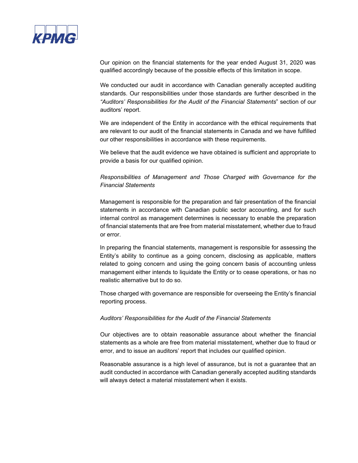

Our opinion on the financial statements for the year ended August 31, 2020 was qualified accordingly because of the possible effects of this limitation in scope.

We conducted our audit in accordance with Canadian generally accepted auditing standards. Our responsibilities under those standards are further described in the *"Auditors' Responsibilities for the Audit of the Financial Statements*" section of our auditors' report.

We are independent of the Entity in accordance with the ethical requirements that are relevant to our audit of the financial statements in Canada and we have fulfilled our other responsibilities in accordance with these requirements.

We believe that the audit evidence we have obtained is sufficient and appropriate to provide a basis for our qualified opinion.

#### *Responsibilities of Management and Those Charged with Governance for the Financial Statements*

Management is responsible for the preparation and fair presentation of the financial statements in accordance with Canadian public sector accounting, and for such internal control as management determines is necessary to enable the preparation of financial statements that are free from material misstatement, whether due to fraud or error.

In preparing the financial statements, management is responsible for assessing the Entity's ability to continue as a going concern, disclosing as applicable, matters related to going concern and using the going concern basis of accounting unless management either intends to liquidate the Entity or to cease operations, or has no realistic alternative but to do so.

Those charged with governance are responsible for overseeing the Entity's financial reporting process.

#### *Auditors' Responsibilities for the Audit of the Financial Statements*

Our objectives are to obtain reasonable assurance about whether the financial statements as a whole are free from material misstatement, whether due to fraud or error, and to issue an auditors' report that includes our qualified opinion.

Reasonable assurance is a high level of assurance, but is not a guarantee that an audit conducted in accordance with Canadian generally accepted auditing standards will always detect a material misstatement when it exists.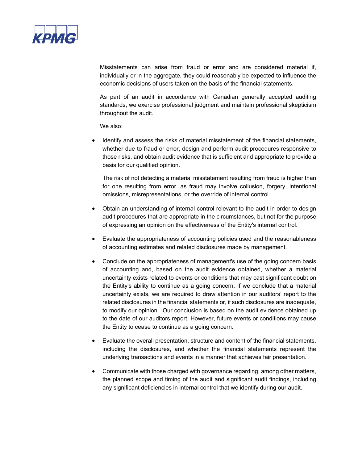

Misstatements can arise from fraud or error and are considered material if, individually or in the aggregate, they could reasonably be expected to influence the economic decisions of users taken on the basis of the financial statements.

As part of an audit in accordance with Canadian generally accepted auditing standards, we exercise professional judgment and maintain professional skepticism throughout the audit.

We also:

 Identify and assess the risks of material misstatement of the financial statements, whether due to fraud or error, design and perform audit procedures responsive to those risks, and obtain audit evidence that is sufficient and appropriate to provide a basis for our qualified opinion.

The risk of not detecting a material misstatement resulting from fraud is higher than for one resulting from error, as fraud may involve collusion, forgery, intentional omissions, misrepresentations, or the override of internal control.

- Obtain an understanding of internal control relevant to the audit in order to design audit procedures that are appropriate in the circumstances, but not for the purpose of expressing an opinion on the effectiveness of the Entity's internal control.
- Evaluate the appropriateness of accounting policies used and the reasonableness of accounting estimates and related disclosures made by management.
- Conclude on the appropriateness of management's use of the going concern basis of accounting and, based on the audit evidence obtained, whether a material uncertainty exists related to events or conditions that may cast significant doubt on the Entity's ability to continue as a going concern. If we conclude that a material uncertainty exists, we are required to draw attention in our auditors' report to the related disclosures in the financial statements or, if such disclosures are inadequate, to modify our opinion. Our conclusion is based on the audit evidence obtained up to the date of our auditors report. However, future events or conditions may cause the Entity to cease to continue as a going concern.
- Evaluate the overall presentation, structure and content of the financial statements, including the disclosures, and whether the financial statements represent the underlying transactions and events in a manner that achieves fair presentation.
- Communicate with those charged with governance regarding, among other matters, the planned scope and timing of the audit and significant audit findings, including any significant deficiencies in internal control that we identify during our audit.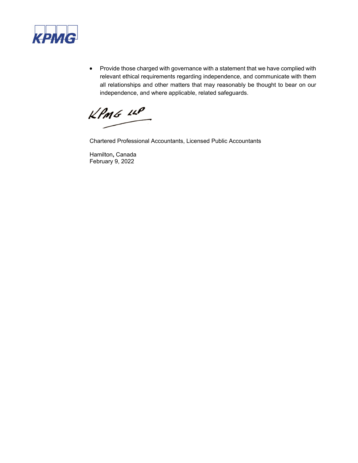

• Provide those charged with governance with a statement that we have complied with relevant ethical requirements regarding independence, and communicate with them all relationships and other matters that may reasonably be thought to bear on our independence, and where applicable, related safeguards.

 $KPMG$  11P

Chartered Professional Accountants, Licensed Public Accountants

Hamilton**,** Canada February 9, 2022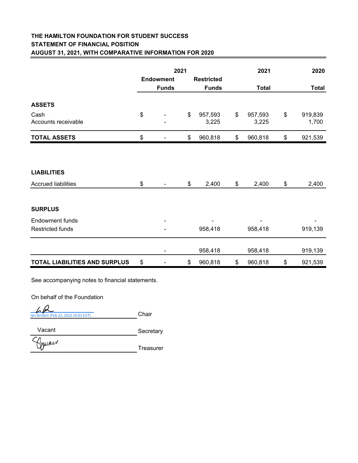## **THE HAMILTON FOUNDATION FOR STUDENT SUCCESS STATEMENT OF FINANCIAL POSITION AUGUST 31, 2021, WITH COMPARATIVE INFORMATION FOR 2020**

|                                      |              | 2021             |                        | 2021                   | 2020         |                  |
|--------------------------------------|--------------|------------------|------------------------|------------------------|--------------|------------------|
|                                      |              | <b>Endowment</b> | <b>Restricted</b>      |                        |              |                  |
|                                      | <b>Funds</b> |                  | <b>Funds</b>           | <b>Total</b>           | <b>Total</b> |                  |
| <b>ASSETS</b>                        |              |                  |                        |                        |              |                  |
| Cash<br>Accounts receivable          | \$           |                  | \$<br>957,593<br>3,225 | \$<br>957,593<br>3,225 | \$           | 919,839<br>1,700 |
| <b>TOTAL ASSETS</b>                  | \$           |                  | \$<br>960,818          | \$<br>960,818          | \$           | 921,539          |
| <b>LIABILITIES</b>                   |              |                  |                        |                        |              |                  |
|                                      |              |                  |                        |                        |              |                  |
| <b>Accrued liabilities</b>           | \$           |                  | \$<br>2,400            | \$<br>2,400            | \$           | 2,400            |
| <b>SURPLUS</b>                       |              |                  |                        |                        |              |                  |
| <b>Endowment funds</b>               |              |                  |                        |                        |              |                  |
| <b>Restricted funds</b>              |              |                  | 958,418                | 958,418                |              | 919,139          |
|                                      |              |                  | 958,418                | 958,418                |              | 919,139          |
| <b>TOTAL LIABILITIES AND SURPLUS</b> | \$           |                  | \$<br>960,818          | \$<br>960,818          | \$           | 921,539          |

See accompanying notes to financial statements.

On behalf of the Foundation

Chair [Ian Brisbin \(Feb 22, 2022 10:01 EST\)](https://secure.na3.adobesign.com/verifier?tx=CBJCHBCAABAAe4PH2IoqXWUw12IMItEHvymIzAuhFk67)

**Secretary** Vacant

Spicker

Treasurer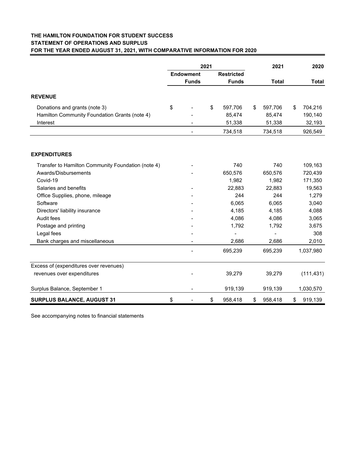#### **THE HAMILTON FOUNDATION FOR STUDENT SUCCESS STATEMENT OF OPERATIONS AND SURPLUS FOR THE YEAR ENDED AUGUST 31, 2021, WITH COMPARATIVE INFORMATION FOR 2020**

|                                                    | 2021 |                  |    | 2021              |    |              | 2020 |              |
|----------------------------------------------------|------|------------------|----|-------------------|----|--------------|------|--------------|
|                                                    |      | <b>Endowment</b> |    | <b>Restricted</b> |    |              |      |              |
|                                                    |      | <b>Funds</b>     |    | <b>Funds</b>      |    | <b>Total</b> |      | <b>Total</b> |
| <b>REVENUE</b>                                     |      |                  |    |                   |    |              |      |              |
| Donations and grants (note 3)                      | \$   |                  | \$ | 597,706           | \$ | 597,706      | \$   | 704,216      |
| Hamilton Community Foundation Grants (note 4)      |      |                  |    | 85,474            |    | 85,474       |      | 190,140      |
| Interest                                           |      |                  |    | 51,338            |    | 51,338       |      | 32,193       |
|                                                    |      |                  |    | 734,518           |    | 734,518      |      | 926,549      |
| <b>EXPENDITURES</b>                                |      |                  |    |                   |    |              |      |              |
| Transfer to Hamilton Community Foundation (note 4) |      |                  |    | 740               |    | 740          |      | 109,163      |
| Awards/Disbursements                               |      |                  |    | 650,576           |    | 650,576      |      | 720,439      |
| Covid-19                                           |      |                  |    | 1,982             |    | 1,982        |      | 171,350      |
| Salaries and benefits                              |      |                  |    | 22,883            |    | 22,883       |      | 19,563       |
| Office Supplies, phone, mileage                    |      |                  |    | 244               |    | 244          |      | 1,279        |
| Software                                           |      |                  |    | 6,065             |    | 6,065        |      | 3,040        |
| Directors' liability insurance                     |      |                  |    | 4,185             |    | 4,185        |      | 4,088        |
| Audit fees                                         |      |                  |    | 4,086             |    | 4,086        |      | 3,065        |
| Postage and printing                               |      |                  |    | 1,792             |    | 1,792        |      | 3,675        |
| Legal fees                                         |      |                  |    |                   |    |              |      | 308          |
| Bank charges and miscellaneous                     |      |                  |    | 2,686             |    | 2,686        |      | 2,010        |
|                                                    |      |                  |    | 695,239           |    | 695,239      |      | 1,037,980    |
| Excess of (expenditures over revenues)             |      |                  |    |                   |    |              |      |              |
| revenues over expenditures                         |      |                  |    | 39,279            |    | 39,279       |      | (111, 431)   |
|                                                    |      |                  |    |                   |    |              |      |              |
| Surplus Balance, September 1                       |      |                  |    | 919,139           |    | 919,139      |      | 1,030,570    |
| <b>SURPLUS BALANCE, AUGUST 31</b>                  | \$   |                  | \$ | 958,418           | \$ | 958,418      | \$   | 919,139      |

See accompanying notes to financial statements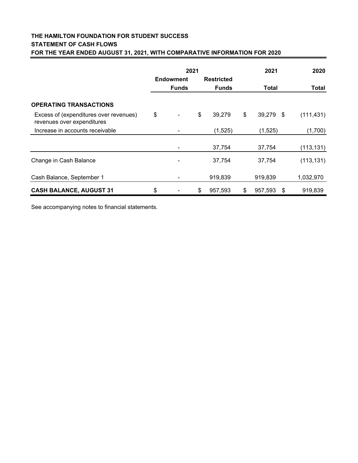### **THE HAMILTON FOUNDATION FOR STUDENT SUCCESS STATEMENT OF CASH FLOWS FOR THE YEAR ENDED AUGUST 31, 2021, WITH COMPARATIVE INFORMATION FOR 2020**

|                                                                      | 2021 |                  |    |                   | 2021                 | 2020         |  |
|----------------------------------------------------------------------|------|------------------|----|-------------------|----------------------|--------------|--|
|                                                                      |      | <b>Endowment</b> |    | <b>Restricted</b> |                      |              |  |
|                                                                      |      | <b>Funds</b>     |    | <b>Funds</b>      | <b>Total</b>         | <b>Total</b> |  |
| <b>OPERATING TRANSACTIONS</b>                                        |      |                  |    |                   |                      |              |  |
| Excess of (expenditures over revenues)<br>revenues over expenditures | \$   |                  | \$ | 39,279            | \$<br>39,279 \$      | (111, 431)   |  |
| Increase in accounts receivable                                      |      |                  |    | (1,525)           | (1,525)              | (1,700)      |  |
|                                                                      |      |                  |    | 37,754            | 37,754               | (113, 131)   |  |
| Change in Cash Balance                                               |      |                  |    | 37,754            | 37,754               | (113, 131)   |  |
| Cash Balance, September 1                                            |      |                  |    | 919,839           | 919,839              | 1,032,970    |  |
| <b>CASH BALANCE, AUGUST 31</b>                                       | \$   |                  | \$ | 957,593           | \$<br>957,593<br>-\$ | 919,839      |  |

See accompanying notes to financial statements.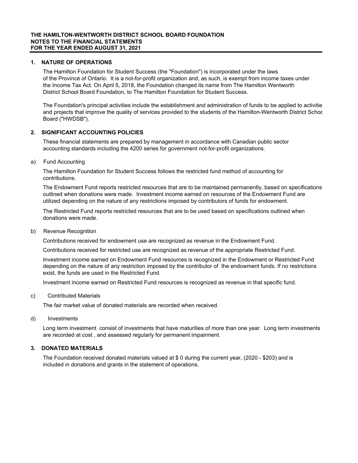#### **1. NATURE OF OPERATIONS**

 The Hamilton Foundation for Student Success (the "Foundation") is incorporated under the laws of the Province of Ontario. It is a not-for-profit organization and, as such, is exempt from income taxes under the Income Tax Act. On April 5, 2018, the Foundation changed its name from The Hamilton Wentworth District School Board Foundation, to The Hamilton Foundation for Student Success.

 The Foundation's principal activities include the establishment and administration of funds to be applied to activitie and projects that improve the quality of services provided to the students of the Hamilton-Wentworth District Schoo Board ("HWDSB").

#### **2. SIGNIFICANT ACCOUNTING POLICIES**

 These financial statements are prepared by management in accordance with Canadian public sector accounting standards including the 4200 series for government not-for-profit organizations.

#### a) Fund Accounting

 The Hamilton Foundation for Student Success follows the restricted fund method of accounting for contributions.

 The Endowment Fund reports restricted resources that are to be maintained permanently, based on specifications outlined when donations were made. Investment income earned on resources of the Endowment Fund are utilized depending on the nature of any restrictions imposed by contributors of funds for endowment.

 The Restricted Fund reports restricted resources that are to be used based on specifications outlined when donations were made.

#### b) Revenue Recognition

Contributions received for endowment use are recognized as revenue in the Endowment Fund.

Contributions received for restricted use are recognized as revenue of the appropriate Restricted Fund.

 Investment income earned on Endowment Fund resources is recognized in the Endowment or Restricted Fund depending on the nature of any restriction imposed by the contributor of the endowment funds. If no restrictions exist, the funds are used in the Restricted Fund.

Investment income earned on Restricted Fund resources is recognized as revenue in that specific fund.

c) Contributed Materials

The fair market value of donated materials are recorded when received.

d) Investments

 Long term investment consist of investments that have maturities of more than one year. Long term investments are recorded at cost , and assessed regularly for permanent impairment.

#### **3. DONATED MATERIALS**

 The Foundation received donated materials valued at \$ 0 during the current year, (2020 - \$203) and is included in donations and grants in the statement of operations.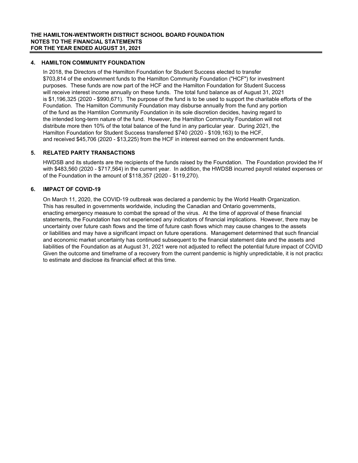#### **4. HAMILTON COMMUNITY FOUNDATION**

 In 2018, the Directors of the Hamilton Foundation for Student Success elected to transfer \$703,814 of the endownment funds to the Hamilton Community Foundation ("HCF") for investment purposes. These funds are now part of the HCF and the Hamilton Foundation for Student Success will receive interest income annually on these funds. The total fund balance as of August 31, 2021 is \$1,196,325 (2020 - \$990,671). The purpose of the fund is to be used to support the charitable efforts of the Foundation. The Hamilton Community Foundation may disburse annually from the fund any portion of the fund as the Hamtilon Community Foundation in its sole discretion decides, having regard to the intended long-term nature of the fund. However, the Hamilton Community Foundation will not distribute more then 10% of the total balance of the fund in any particular year. During 2021, the Hamilton Foundation for Student Success transferred \$740 (2020 - \$109,163) to the HCF, and received \$45,706 (2020 - \$13,225) from the HCF in interest earned on the endownment funds.

#### **5. RELATED PARTY TRANSACTIONS**

HWDSB and its students are the recipients of the funds raised by the Foundation. The Foundation provided the H with \$483,560 (2020 - \$717,564) in the current year. In addition, the HWDSB incurred payroll related expenses on of the Foundation in the amount of \$118,357 (2020 - \$119,270).

#### **6. IMPACT OF COVID-19**

 On March 11, 2020, the COVID-19 outbreak was declared a pandemic by the World Health Organization. This has resulted in governments worldwide, including the Canadian and Ontario governments, enacting emergency measure to combat the spread of the virus. At the time of approval of these financial statements, the Foundation has not experienced any indicators of financial implications. However, there may be uncertainty over future cash flows and the time of future cash flows which may cause changes to the assets or liabilities and may have a significant impact on future operations. Management determined that such financial and economic market uncertainty has continued subsequent to the financial statement date and the assets and liabilities of the Foundation as at August 31, 2021 were not adjusted to reflect the potential future impact of COVID Given the outcome and timeframe of a recovery from the current pandemic is highly unpredictable, it is not practica to estimate and disclose its financial effect at this time.